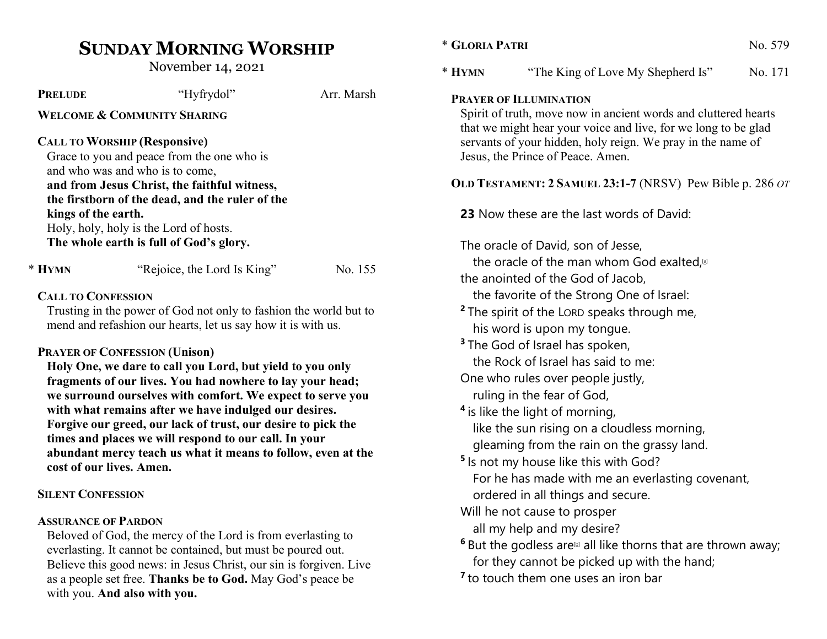# SUNDAY MORNING WORSHIP

November 14, 2021

with you. And also with you.

| <b>PRELUDE</b>                                                                                                               | "Hyfrydol"                                                                                                             | Arr. Marsh | <b>PRAYER OF ILLU</b>        |  |  |
|------------------------------------------------------------------------------------------------------------------------------|------------------------------------------------------------------------------------------------------------------------|------------|------------------------------|--|--|
| <b>WELCOME &amp; COMMUNITY SHARING</b>                                                                                       | Spirit of truth, 1                                                                                                     |            |                              |  |  |
|                                                                                                                              | that we might h<br>servants of you                                                                                     |            |                              |  |  |
|                                                                                                                              | <b>CALL TO WORSHIP (Responsive)</b>                                                                                    |            |                              |  |  |
| Grace to you and peace from the one who is                                                                                   | Jesus, the Princ                                                                                                       |            |                              |  |  |
| and who was and who is to come,                                                                                              | <b>OLD TESTAMENT</b>                                                                                                   |            |                              |  |  |
| and from Jesus Christ, the faithful witness,                                                                                 |                                                                                                                        |            |                              |  |  |
|                                                                                                                              | the firstborn of the dead, and the ruler of the                                                                        |            |                              |  |  |
| kings of the earth.                                                                                                          | Holy, holy, holy is the Lord of hosts.                                                                                 |            | 23 Now these                 |  |  |
|                                                                                                                              | The whole earth is full of God's glory.                                                                                |            |                              |  |  |
|                                                                                                                              | The oracle of I                                                                                                        |            |                              |  |  |
| * HYMN                                                                                                                       | "Rejoice, the Lord Is King"                                                                                            | No. 155    | the oracle o                 |  |  |
|                                                                                                                              |                                                                                                                        |            | the anointed o               |  |  |
| <b>CALL TO CONFESSION</b>                                                                                                    | the favorite                                                                                                           |            |                              |  |  |
| Trusting in the power of God not only to fashion the world but to                                                            | <sup>2</sup> The spirit of                                                                                             |            |                              |  |  |
| mend and refashion our hearts, let us say how it is with us.                                                                 | his word is                                                                                                            |            |                              |  |  |
|                                                                                                                              | <sup>3</sup> The God of Is                                                                                             |            |                              |  |  |
|                                                                                                                              | <b>PRAYER OF CONFESSION (Unison)</b>                                                                                   |            | the Rock of                  |  |  |
|                                                                                                                              | Holy One, we dare to call you Lord, but yield to you only<br>fragments of our lives. You had nowhere to lay your head; |            | One who rules                |  |  |
|                                                                                                                              | we surround ourselves with comfort. We expect to serve you                                                             |            | ruling in the                |  |  |
|                                                                                                                              | with what remains after we have indulged our desires.                                                                  |            | <sup>4</sup> is like the lig |  |  |
|                                                                                                                              | Forgive our greed, our lack of trust, our desire to pick the                                                           |            | like the sun                 |  |  |
|                                                                                                                              | times and places we will respond to our call. In your                                                                  |            |                              |  |  |
|                                                                                                                              | abundant mercy teach us what it means to follow, even at the                                                           |            |                              |  |  |
| cost of our lives. Amen.                                                                                                     | <sup>5</sup> Is not my ho                                                                                              |            |                              |  |  |
|                                                                                                                              |                                                                                                                        |            | For he has r                 |  |  |
| <b>SILENT CONFESSION</b>                                                                                                     | ordered in a                                                                                                           |            |                              |  |  |
|                                                                                                                              |                                                                                                                        |            | Will he not car              |  |  |
| <b>ASSURANCE OF PARDON</b>                                                                                                   | all my help                                                                                                            |            |                              |  |  |
| Beloved of God, the mercy of the Lord is from everlasting to<br>everlasting. It cannot be contained, but must be poured out. | <sup>6</sup> But the godle                                                                                             |            |                              |  |  |
| Believe this good news: in Jesus Christ, our sin is forgiven. Live                                                           | for they can                                                                                                           |            |                              |  |  |
| as a people set free. Thanks be to God. May God's peace be                                                                   | <sup>7</sup> to touch thei                                                                                             |            |                              |  |  |
|                                                                                                                              |                                                                                                                        |            |                              |  |  |

# \* GLORIA PATRI No. 579 \* HYMN "The King of Love My Shepherd Is" No. 171 **MINATION** move now in ancient words and cluttered hearts thear your voice and live, for we long to be glad In hidden, holy reign. We pray in the name of e of Peace. Amen. T:  $2$  SAMUEL 23:1-7 (NRSV) Pew Bible p. 286 OT are the last words of David: David, son of Jesse, of the man whom God exalted, $[a]$ of the God of Jacob, of the Strong One of Israel: the LORD speaks through me, upon my tongue. srael has spoken, Israel has said to me: s over people justly,

e fear of God,

ht of morning,

rising on a cloudless morning,

om the rain on the grassy land.

use like this with God?

made with me an everlasting covenant, all things and secure.

use to prosper

and my desire?

ess are $\omega$  all like thorns that are thrown away; inot be picked up with the hand;

to touch them one uses an iron bar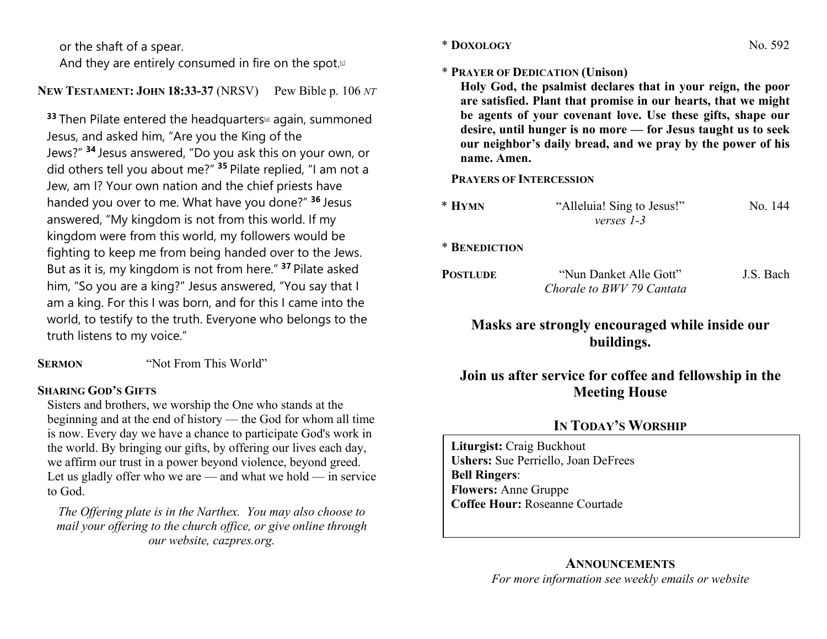or the shaft of a spear.

And they are entirely consumed in fire on the spot. $[0]$ 

# NEW TESTAMENT: JOHN 18:33-37 (NRSV) Pew Bible p. 106 NT

 $33$  Then Pilate entered the headquarters<sup>[a]</sup> again, summoned Jesus, and asked him, "Are you the King of the Jews?" <sup>34</sup> Jesus answered, "Do you ask this on your own, or did others tell you about me?" <sup>35</sup> Pilate replied, "I am not a Jew, am I? Your own nation and the chief priests have handed you over to me. What have you done?" 36 Jesus answered, "My kingdom is not from this world. If my kingdom were from this world, my followers would be fighting to keep me from being handed over to the Jews. But as it is, my kingdom is not from here." <sup>37</sup> Pilate asked him, "So you are a king?" Jesus answered, "You say that I am a king. For this I was born, and for this I came into the world, to testify to the truth. Everyone who belongs to the truth listens to my voice."

SERMON "Not From This World"

# SHARING GOD'S GIFTS

Sisters and brothers, we worship the One who stands at the beginning and at the end of history — the God for whom all time is now. Every day we have a chance to participate God's work in the world. By bringing our gifts, by offering our lives each day, we affirm our trust in a power beyond violence, beyond greed. Let us gladly offer who we are — and what we hold — in service to God.

The Offering plate is in the Narthex. You may also choose to mail your offering to the church office, or give online through our website, cazpres.org.

## \* PRAYER OF DEDICATION (Unison)

Holy God, the psalmist declares that in your reign, the poor are satisfied. Plant that promise in our hearts, that we might be agents of your covenant love. Use these gifts, shape our desire, until hunger is no more — for Jesus taught us to seek our neighbor's daily bread, and we pray by the power of his name. Amen.

PRAYERS OF INTERCESSION

| $*$ HYMN | "Alleluia! Sing to Jesus!" | No. 144 |
|----------|----------------------------|---------|
|          | verses 1-3                 |         |

\* BENEDICTION

POSTLUDE "Nun Danket Alle Gott" J.S. Bach Chorale to BWV 79 Cantata

Masks are strongly encouraged while inside our buildings.

# Join us after service for coffee and fellowship in the Meeting House

# IN TODAY'S WORSHIP

Liturgist: Craig Buckhout Ushers: Sue Perriello, Joan DeFrees Bell Ringers: Flowers: Anne Gruppe Coffee Hour: Roseanne Courtade